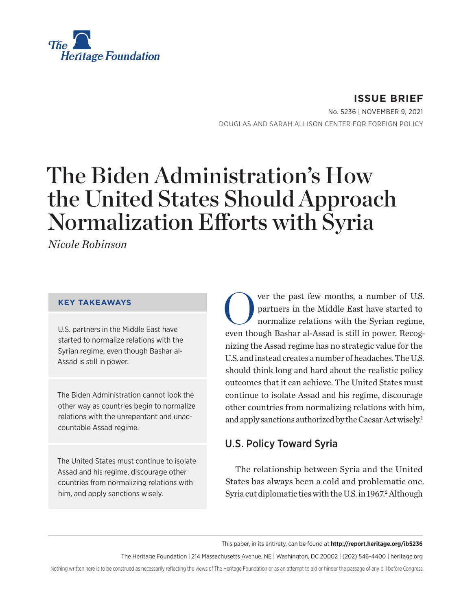<span id="page-0-0"></span>

**ISSUE BRIEF** No. 5236 | November 9, 2021 DOUGLAS AND SARAH ALLISON CENTER FOR FOREIGN POLICY

# The Biden Administration's How the United States Should Approach Normalization Efforts with Syria

*Nicole Robinson*

#### **KEY TAKEAWAYS**

U.S. partners in the Middle East have started to normalize relations with the Syrian regime, even though Bashar al-Assad is still in power.

The Biden Administration cannot look the other way as countries begin to normalize relations with the unrepentant and unaccountable Assad regime.

The United States must continue to isolate Assad and his regime, discourage other countries from normalizing relations with him, and apply sanctions wisely.

Ver the past few months, a number of U.S.<br>partners in the Middle East have started to<br>normalize relations with the Syrian regime, partners in the Middle East have started to normalize relations with the Syrian regime, even though Bashar al-Assad is still in power. Recognizing the Assad regime has no strategic value for the U.S. and instead creates a number of headaches. The U.S. should think long and hard about the realistic policy outcomes that it can achieve. The United States must continue to isolate Assad and his regime, discourage other countries from normalizing relations with him, and apply sanctions authorized by the Caesar Act wisely.<sup>1</sup>

## U.S. Policy Toward Syria

The relationship between Syria and the United States has always been a cold and problematic one. Syria cut diplomatic ties with the U.S. in 1967.<sup>[2](#page-6-0)</sup> Although

This paper, in its entirety, can be found at **http://report.heritage.org/ib5236**

The Heritage Foundation | 214 Massachusetts Avenue, NE | Washington, DC 20002 | (202) 546-4400 | [heritage.org](http://www.heritage.org)

Nothing written here is to be construed as necessarily reflecting the views of The Heritage Foundation or as an attempt to aid or hinder the passage of any bill before Congress.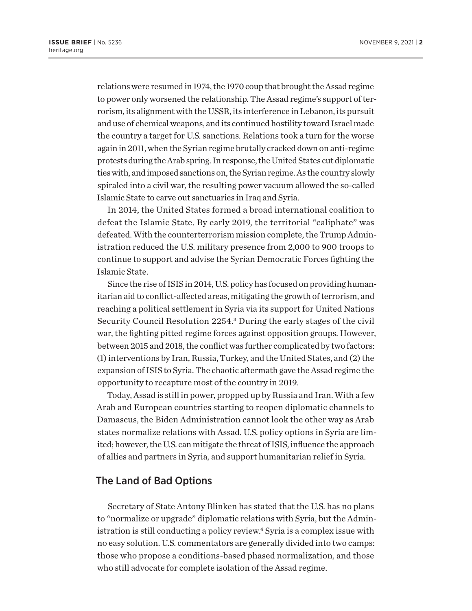<span id="page-1-0"></span>relations were resumed in 1974, the 1970 coup that brought the Assad regime to power only worsened the relationship. The Assad regime's support of terrorism, its alignment with the USSR, its interference in Lebanon, its pursuit and use of chemical weapons, and its continued hostility toward Israel made the country a target for U.S. sanctions. Relations took a turn for the worse again in 2011, when the Syrian regime brutally cracked down on anti-regime protests during the Arab spring. In response, the United States cut diplomatic ties with, and imposed sanctions on, the Syrian regime. As the country slowly spiraled into a civil war, the resulting power vacuum allowed the so-called Islamic State to carve out sanctuaries in Iraq and Syria.

In 2014, the United States formed a broad international coalition to defeat the Islamic State. By early 2019, the territorial "caliphate" was defeated. With the counterterrorism mission complete, the Trump Administration reduced the U.S. military presence from 2,000 to 900 troops to continue to support and advise the Syrian Democratic Forces fighting the Islamic State.

Since the rise of ISIS in 2014, U.S. policy has focused on providing humanitarian aid to conflict-affected areas, mitigating the growth of terrorism, and reaching a political settlement in Syria via its support for United Nations Security Council Resolution 2254.<sup>[3](#page-6-0)</sup> During the early stages of the civil war, the fighting pitted regime forces against opposition groups. However, between 2015 and 2018, the conflict was further complicated by two factors: (1) interventions by Iran, Russia, Turkey, and the United States, and (2) the expansion of ISIS to Syria. The chaotic aftermath gave the Assad regime the opportunity to recapture most of the country in 2019.

Today, Assad is still in power, propped up by Russia and Iran. With a few Arab and European countries starting to reopen diplomatic channels to Damascus, the Biden Administration cannot look the other way as Arab states normalize relations with Assad. U.S. policy options in Syria are limited; however, the U.S. can mitigate the threat of ISIS, influence the approach of allies and partners in Syria, and support humanitarian relief in Syria.

#### The Land of Bad Options

Secretary of State Antony Blinken has stated that the U.S. has no plans to "normalize or upgrade" diplomatic relations with Syria, but the Administration is still conducting a policy review[.4](#page-6-0) Syria is a complex issue with no easy solution. U.S. commentators are generally divided into two camps: those who propose a conditions-based phased normalization, and those who still advocate for complete isolation of the Assad regime.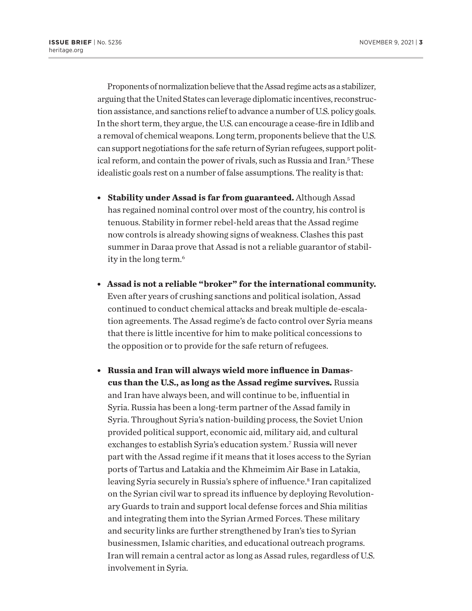<span id="page-2-0"></span>Proponents of normalization believe that the Assad regime acts as a stabilizer, arguing that the United States can leverage diplomatic incentives, reconstruction assistance, and sanctions relief to advance a number of U.S. policy goals. In the short term, they argue, the U.S. can encourage a cease-fire in Idlib and a removal of chemical weapons. Long term, proponents believe that the U.S. can support negotiations for the safe return of Syrian refugees, support political reform, and contain the power of rivals, such as Russia and Iran.<sup>5</sup> These idealistic goals rest on a number of false assumptions. The reality is that:

- **Stability under Assad is far from guaranteed.** Although Assad has regained nominal control over most of the country, his control is tenuous. Stability in former rebel-held areas that the Assad regime now controls is already showing signs of weakness. Clashes this past summer in Daraa prove that Assad is not a reliable guarantor of stability in the long term[.6](#page-6-0)
- <sup>l</sup> **Assad is not a reliable "broker" for the international community.** Even after years of crushing sanctions and political isolation, Assad continued to conduct chemical attacks and break multiple de-escalation agreements. The Assad regime's de facto control over Syria means that there is little incentive for him to make political concessions to the opposition or to provide for the safe return of refugees.
- **Russia and Iran will always wield more influence in Damascus than the U.S., as long as the Assad regime survives.** Russia and Iran have always been, and will continue to be, influential in Syria. Russia has been a long-term partner of the Assad family in Syria. Throughout Syria's nation-building process, the Soviet Union provided political support, economic aid, military aid, and cultural exchanges to establish Syria's education system.[7](#page-6-0) Russia will never part with the Assad regime if it means that it loses access to the Syrian ports of Tartus and Latakia and the Khmeimim Air Base in Latakia, leaving Syria securely in Russia's sphere of influence.<sup>8</sup> Iran capitalized on the Syrian civil war to spread its influence by deploying Revolutionary Guards to train and support local defense forces and Shia militias and integrating them into the Syrian Armed Forces. These military and security links are further strengthened by Iran's ties to Syrian businessmen, Islamic charities, and educational outreach programs. Iran will remain a central actor as long as Assad rules, regardless of U.S. involvement in Syria.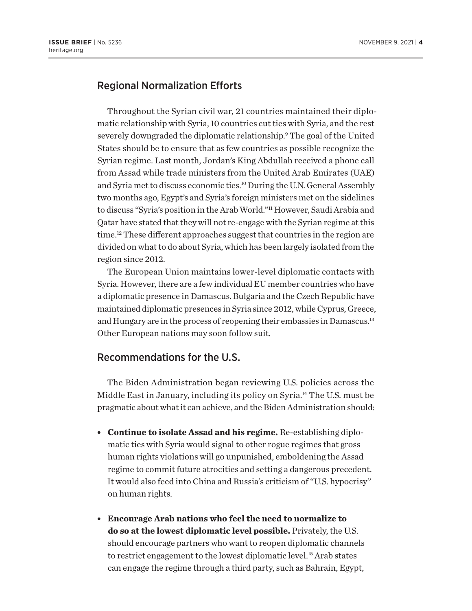### <span id="page-3-0"></span>Regional Normalization Efforts

Throughout the Syrian civil war, 21 countries maintained their diplomatic relationship with Syria, 10 countries cut ties with Syria, and the rest severely downgraded the diplomatic relationship.<sup>9</sup> The goal of the United States should be to ensure that as few countries as possible recognize the Syrian regime. Last month, Jordan's King Abdullah received a phone call from Assad while trade ministers from the United Arab Emirates (UAE) and Syria met to discuss economic ties.[10](#page-6-0) During the U.N. General Assembly two months ago, Egypt's and Syria's foreign ministers met on the sidelines to discuss "Syria's position in the Arab World.["11](#page-6-0) However, Saudi Arabia and Qatar have stated that they will not re-engage with the Syrian regime at this time.[12](#page-6-0) These different approaches suggest that countries in the region are divided on what to do about Syria, which has been largely isolated from the region since 2012.

The European Union maintains lower-level diplomatic contacts with Syria. However, there are a few individual EU member countries who have a diplomatic presence in Damascus. Bulgaria and the Czech Republic have maintained diplomatic presences in Syria since 2012, while Cyprus, Greece, and Hungary are in the process of reopening their embassies in Damascus[.13](#page-6-0) Other European nations may soon follow suit.

### Recommendations for the U.S.

The Biden Administration began reviewing U.S. policies across the Middle East in January, including its policy on Syria[.14](#page-6-0) The U.S. must be pragmatic about what it can achieve, and the Biden Administration should:

- **Continue to isolate Assad and his regime.** Re-establishing diplomatic ties with Syria would signal to other rogue regimes that gross human rights violations will go unpunished, emboldening the Assad regime to commit future atrocities and setting a dangerous precedent. It would also feed into China and Russia's criticism of "U.S. hypocrisy" on human rights.
- **Encourage Arab nations who feel the need to normalize to do so at the lowest diplomatic level possible.** Privately, the U.S. should encourage partners who want to reopen diplomatic channels to restrict engagement to the lowest diplomatic level.<sup>[15](#page-6-0)</sup> Arab states can engage the regime through a third party, such as Bahrain, Egypt,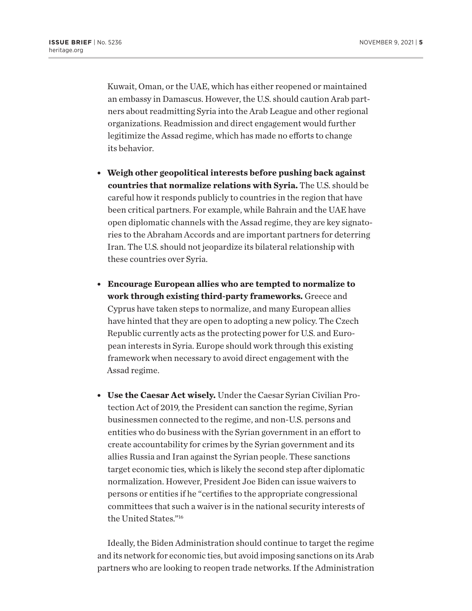<span id="page-4-0"></span>Kuwait, Oman, or the UAE, which has either reopened or maintained an embassy in Damascus. However, the U.S. should caution Arab partners about readmitting Syria into the Arab League and other regional organizations. Readmission and direct engagement would further legitimize the Assad regime, which has made no efforts to change its behavior.

- **Weigh other geopolitical interests before pushing back against countries that normalize relations with Syria.** The U.S. should be careful how it responds publicly to countries in the region that have been critical partners. For example, while Bahrain and the UAE have open diplomatic channels with the Assad regime, they are key signatories to the Abraham Accords and are important partners for deterring Iran. The U.S. should not jeopardize its bilateral relationship with these countries over Syria.
- <sup>l</sup> **Encourage European allies who are tempted to normalize to work through existing third-party frameworks.** Greece and Cyprus have taken steps to normalize, and many European allies have hinted that they are open to adopting a new policy. The Czech Republic currently acts as the protecting power for U.S. and European interests in Syria. Europe should work through this existing framework when necessary to avoid direct engagement with the Assad regime.
- <sup>l</sup> **Use the Caesar Act wisely.** Under the Caesar Syrian Civilian Protection Act of 2019, the President can sanction the regime, Syrian businessmen connected to the regime, and non-U.S. persons and entities who do business with the Syrian government in an effort to create accountability for crimes by the Syrian government and its allies Russia and Iran against the Syrian people. These sanctions target economic ties, which is likely the second step after diplomatic normalization. However, President Joe Biden can issue waivers to persons or entities if he "certifies to the appropriate congressional committees that such a waiver is in the national security interests of the United States."<sup>[16](#page-6-0)</sup>

Ideally, the Biden Administration should continue to target the regime and its network for economic ties, but avoid imposing sanctions on its Arab partners who are looking to reopen trade networks. If the Administration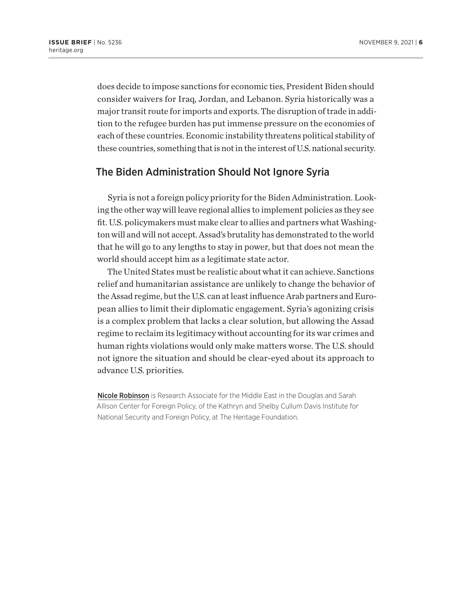does decide to impose sanctions for economic ties, President Biden should consider waivers for Iraq, Jordan, and Lebanon. Syria historically was a major transit route for imports and exports. The disruption of trade in addition to the refugee burden has put immense pressure on the economies of each of these countries. Economic instability threatens political stability of these countries, something that is not in the interest of U.S. national security.

## The Biden Administration Should Not Ignore Syria

Syria is not a foreign policy priority for the Biden Administration. Looking the other way will leave regional allies to implement policies as they see fit. U.S. policymakers must make clear to allies and partners what Washington will and will not accept. Assad's brutality has demonstrated to the world that he will go to any lengths to stay in power, but that does not mean the world should accept him as a legitimate state actor.

The United States must be realistic about what it can achieve. Sanctions relief and humanitarian assistance are unlikely to change the behavior of the Assad regime, but the U.S. can at least influence Arab partners and European allies to limit their diplomatic engagement. Syria's agonizing crisis is a complex problem that lacks a clear solution, but allowing the Assad regime to reclaim its legitimacy without accounting for its war crimes and human rights violations would only make matters worse. The U.S. should not ignore the situation and should be clear-eyed about its approach to advance U.S. priorities.

Nicole Robinson is Research Associate for the Middle East in the Douglas and Sarah Allison Center for Foreign Policy, of the Kathryn and Shelby Cullum Davis Institute for National Security and Foreign Policy, at The Heritage Foundation.